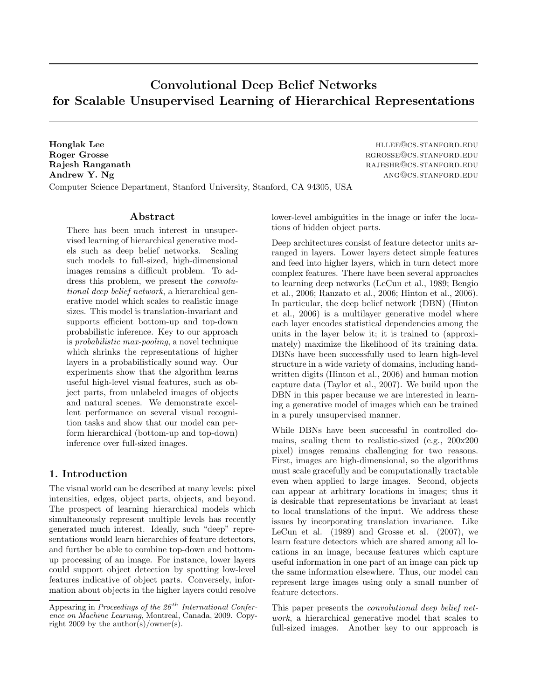# Convolutional Deep Belief Networks for Scalable Unsupervised Learning of Hierarchical Representations

Honglak Lee held and the host of the held and the highest state of the highest standard and the highest standard and the highest standard and the highest standard state of the highest standard state of the highest standard Roger Grosse **region in the contract of the contract of the contract of the contract of the contract of the contract of the contract of the contract of the contract of the contract of the contract of the contract of the co** Rajesh Ranganath **Rajesh Ranganath** rajeshraganath rajeshraganath rajeshraganath rajeshraganath rajeshraganath r Andrew Y. Ng Angeles and the state of the state of the state of the state and the state of the state of the state of the state of the state of the state of the state of the state of the state of the state of the state of t Computer Science Department, Stanford University, Stanford, CA 94305, USA

# Abstract

There has been much interest in unsupervised learning of hierarchical generative models such as deep belief networks. Scaling such models to full-sized, high-dimensional images remains a difficult problem. To address this problem, we present the convolutional deep belief network, a hierarchical generative model which scales to realistic image sizes. This model is translation-invariant and supports efficient bottom-up and top-down probabilistic inference. Key to our approach is probabilistic max-pooling, a novel technique which shrinks the representations of higher layers in a probabilistically sound way. Our experiments show that the algorithm learns useful high-level visual features, such as object parts, from unlabeled images of objects and natural scenes. We demonstrate excellent performance on several visual recognition tasks and show that our model can perform hierarchical (bottom-up and top-down) inference over full-sized images.

## 1. Introduction

The visual world can be described at many levels: pixel intensities, edges, object parts, objects, and beyond. The prospect of learning hierarchical models which simultaneously represent multiple levels has recently generated much interest. Ideally, such "deep" representations would learn hierarchies of feature detectors, and further be able to combine top-down and bottomup processing of an image. For instance, lower layers could support object detection by spotting low-level features indicative of object parts. Conversely, information about objects in the higher layers could resolve

lower-level ambiguities in the image or infer the locations of hidden object parts.

Deep architectures consist of feature detector units arranged in layers. Lower layers detect simple features and feed into higher layers, which in turn detect more complex features. There have been several approaches to learning deep networks (LeCun et al., 1989; Bengio et al., 2006; Ranzato et al., 2006; Hinton et al., 2006). In particular, the deep belief network (DBN) (Hinton et al., 2006) is a multilayer generative model where each layer encodes statistical dependencies among the units in the layer below it; it is trained to (approximately) maximize the likelihood of its training data. DBNs have been successfully used to learn high-level structure in a wide variety of domains, including handwritten digits (Hinton et al., 2006) and human motion capture data (Taylor et al., 2007). We build upon the DBN in this paper because we are interested in learning a generative model of images which can be trained in a purely unsupervised manner.

While DBNs have been successful in controlled domains, scaling them to realistic-sized (e.g., 200x200 pixel) images remains challenging for two reasons. First, images are high-dimensional, so the algorithms must scale gracefully and be computationally tractable even when applied to large images. Second, objects can appear at arbitrary locations in images; thus it is desirable that representations be invariant at least to local translations of the input. We address these issues by incorporating translation invariance. Like LeCun et al. (1989) and Grosse et al. (2007), we learn feature detectors which are shared among all locations in an image, because features which capture useful information in one part of an image can pick up the same information elsewhere. Thus, our model can represent large images using only a small number of feature detectors.

This paper presents the *convolutional deep belief net*work, a hierarchical generative model that scales to full-sized images. Another key to our approach is

Appearing in Proceedings of the  $26^{th}$  International Conference on Machine Learning, Montreal, Canada, 2009. Copyright 2009 by the author(s)/owner(s).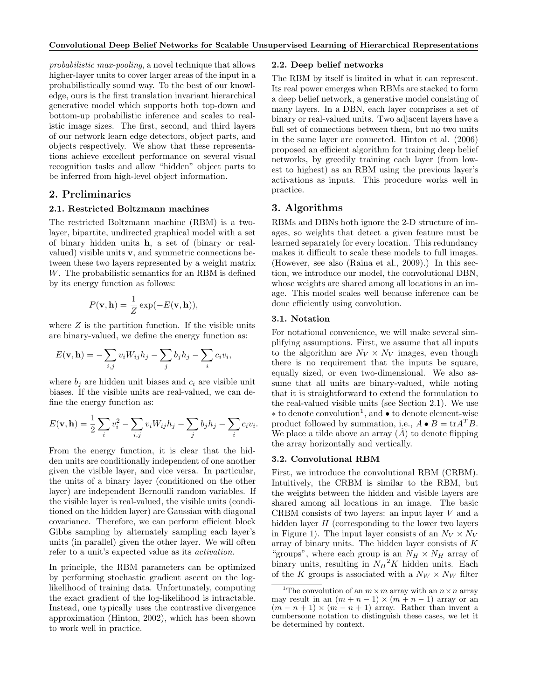probabilistic max-pooling, a novel technique that allows higher-layer units to cover larger areas of the input in a probabilistically sound way. To the best of our knowledge, ours is the first translation invariant hierarchical generative model which supports both top-down and bottom-up probabilistic inference and scales to realistic image sizes. The first, second, and third layers of our network learn edge detectors, object parts, and objects respectively. We show that these representations achieve excellent performance on several visual recognition tasks and allow "hidden" object parts to be inferred from high-level object information.

# 2. Preliminaries

## 2.1. Restricted Boltzmann machines

The restricted Boltzmann machine (RBM) is a twolayer, bipartite, undirected graphical model with a set of binary hidden units h, a set of (binary or realvalued) visible units  $\mathbf{v}$ , and symmetric connections between these two layers represented by a weight matrix W. The probabilistic semantics for an RBM is defined by its energy function as follows:

$$
P(\mathbf{v}, \mathbf{h}) = \frac{1}{Z} \exp(-E(\mathbf{v}, \mathbf{h})),
$$

where  $Z$  is the partition function. If the visible units are binary-valued, we define the energy function as:

$$
E(\mathbf{v}, \mathbf{h}) = -\sum_{i,j} v_i W_{ij} h_j - \sum_j b_j h_j - \sum_i c_i v_i,
$$

where  $b_j$  are hidden unit biases and  $c_i$  are visible unit biases. If the visible units are real-valued, we can define the energy function as:

$$
E(\mathbf{v}, \mathbf{h}) = \frac{1}{2} \sum_{i} v_i^2 - \sum_{i,j} v_i W_{ij} h_j - \sum_{j} b_j h_j - \sum_{i} c_i v_i.
$$

From the energy function, it is clear that the hidden units are conditionally independent of one another given the visible layer, and vice versa. In particular, the units of a binary layer (conditioned on the other layer) are independent Bernoulli random variables. If the visible layer is real-valued, the visible units (conditioned on the hidden layer) are Gaussian with diagonal covariance. Therefore, we can perform efficient block Gibbs sampling by alternately sampling each layer's units (in parallel) given the other layer. We will often refer to a unit's expected value as its activation.

In principle, the RBM parameters can be optimized by performing stochastic gradient ascent on the loglikelihood of training data. Unfortunately, computing the exact gradient of the log-likelihood is intractable. Instead, one typically uses the contrastive divergence approximation (Hinton, 2002), which has been shown to work well in practice.

## 2.2. Deep belief networks

The RBM by itself is limited in what it can represent. Its real power emerges when RBMs are stacked to form a deep belief network, a generative model consisting of many layers. In a DBN, each layer comprises a set of binary or real-valued units. Two adjacent layers have a full set of connections between them, but no two units in the same layer are connected. Hinton et al. (2006) proposed an efficient algorithm for training deep belief networks, by greedily training each layer (from lowest to highest) as an RBM using the previous layer's activations as inputs. This procedure works well in practice.

# 3. Algorithms

RBMs and DBNs both ignore the 2-D structure of images, so weights that detect a given feature must be learned separately for every location. This redundancy makes it difficult to scale these models to full images. (However, see also (Raina et al., 2009).) In this section, we introduce our model, the convolutional DBN, whose weights are shared among all locations in an image. This model scales well because inference can be done efficiently using convolution.

# 3.1. Notation

For notational convenience, we will make several simplifying assumptions. First, we assume that all inputs to the algorithm are  $N_V \times N_V$  images, even though there is no requirement that the inputs be square, equally sized, or even two-dimensional. We also assume that all units are binary-valued, while noting that it is straightforward to extend the formulation to the real-valued visible units (see Section 2.1). We use ∗ to denote convolution<sup>1</sup> , and • to denote element-wise product followed by summation, i.e.,  $A \bullet B = \text{tr} A^{T} B$ . We place a tilde above an array  $(A)$  to denote flipping the array horizontally and vertically.

#### 3.2. Convolutional RBM

First, we introduce the convolutional RBM (CRBM). Intuitively, the CRBM is similar to the RBM, but the weights between the hidden and visible layers are shared among all locations in an image. The basic CRBM consists of two layers: an input layer  $V$  and a hidden layer  $H$  (corresponding to the lower two layers in Figure 1). The input layer consists of an  $N_V \times N_V$ array of binary units. The hidden layer consists of K "groups", where each group is an  $N_H \times N_H$  array of binary units, resulting in  $N_H^2 K$  hidden units. Each of the K groups is associated with a  $N_W \times N_W$  filter

<sup>&</sup>lt;sup>1</sup>The convolution of an  $m \times m$  array with an  $n \times n$  array may result in an  $(m + n - 1) \times (m + n - 1)$  array or an  $(m - n + 1) \times (m - n + 1)$  array. Rather than invent a cumbersome notation to distinguish these cases, we let it be determined by context.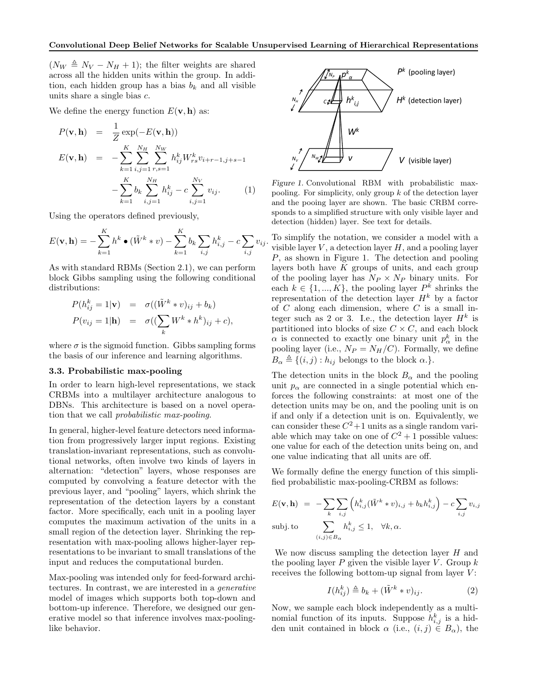$(N_W \triangleq N_V - N_H + 1)$ ; the filter weights are shared across all the hidden units within the group. In addition, each hidden group has a bias  $b_k$  and all visible units share a single bias c.

We define the energy function  $E(\mathbf{v}, \mathbf{h})$  as:

$$
P(\mathbf{v}, \mathbf{h}) = \frac{1}{Z} \exp(-E(\mathbf{v}, \mathbf{h}))
$$
  
\n
$$
E(\mathbf{v}, \mathbf{h}) = -\sum_{k=1}^{K} \sum_{i,j=1}^{N_H} \sum_{r,s=1}^{N_W} h_{ij}^k W_{rs}^k v_{i+r-1,j+s-1}
$$
  
\n
$$
- \sum_{k=1}^{K} b_k \sum_{i,j=1}^{N_H} h_{ij}^k - c \sum_{i,j=1}^{N_V} v_{ij}.
$$
 (1)

Using the operators defined previously,

$$
E(\mathbf{v}, \mathbf{h}) = -\sum_{k=1}^{K} h^{k} \bullet (\tilde{W}^{k} * v) - \sum_{k=1}^{K} b_{k} \sum_{i,j} h_{i,j}^{k} - c \sum_{i,j} v_{ij}.
$$

As with standard RBMs (Section 2.1), we can perform block Gibbs sampling using the following conditional distributions:

$$
P(h_{ij}^k = 1 | \mathbf{v}) = \sigma((\tilde{W}^k * v)_{ij} + b_k)
$$
  

$$
P(v_{ij} = 1 | \mathbf{h}) = \sigma((\sum_k W^k * h^k)_{ij} + c),
$$

where  $\sigma$  is the sigmoid function. Gibbs sampling forms the basis of our inference and learning algorithms.

#### 3.3. Probabilistic max-pooling

In order to learn high-level representations, we stack CRBMs into a multilayer architecture analogous to DBNs. This architecture is based on a novel operation that we call probabilistic max-pooling.

In general, higher-level feature detectors need information from progressively larger input regions. Existing translation-invariant representations, such as convolutional networks, often involve two kinds of layers in alternation: "detection" layers, whose responses are computed by convolving a feature detector with the previous layer, and "pooling" layers, which shrink the representation of the detection layers by a constant factor. More specifically, each unit in a pooling layer computes the maximum activation of the units in a small region of the detection layer. Shrinking the representation with max-pooling allows higher-layer representations to be invariant to small translations of the input and reduces the computational burden.

Max-pooling was intended only for feed-forward architectures. In contrast, we are interested in a generative model of images which supports both top-down and bottom-up inference. Therefore, we designed our generative model so that inference involves max-poolinglike behavior.



Figure 1. Convolutional RBM with probabilistic maxpooling. For simplicity, only group  $k$  of the detection layer and the pooing layer are shown. The basic CRBM corresponds to a simplified structure with only visible layer and detection (hidden) layer. See text for details.

To simplify the notation, we consider a model with a visible layer  $V$ , a detection layer  $H$ , and a pooling layer P, as shown in Figure 1. The detection and pooling layers both have  $K$  groups of units, and each group of the pooling layer has  $N_P \times N_P$  binary units. For each  $k \in \{1, ..., K\}$ , the pooling layer  $P^k$  shrinks the representation of the detection layer  $H^k$  by a factor of  $C$  along each dimension, where  $C$  is a small integer such as 2 or 3. I.e., the detection layer  $H^k$  is partitioned into blocks of size  $C \times C$ , and each block  $\alpha$  is connected to exactly one binary unit  $p_{\alpha}^{k}$  in the pooling layer (i.e.,  $N_P = N_H/C$ ). Formally, we define  $B_{\alpha} \triangleq \{(i, j) : h_{ij} \text{ belongs to the block } \alpha.\}.$ 

The detection units in the block  $B_{\alpha}$  and the pooling unit  $p_{\alpha}$  are connected in a single potential which enforces the following constraints: at most one of the detection units may be on, and the pooling unit is on if and only if a detection unit is on. Equivalently, we can consider these  $C^2+1$  units as a single random variable which may take on one of  $C^2 + 1$  possible values: one value for each of the detection units being on, and one value indicating that all units are off.

We formally define the energy function of this simplified probabilistic max-pooling-CRBM as follows:

$$
E(\mathbf{v}, \mathbf{h}) = -\sum_{k} \sum_{i,j} \left( h_{i,j}^{k} (\tilde{W}^{k} * v)_{i,j} + b_{k} h_{i,j}^{k} \right) - c \sum_{i,j} v_{i,j}
$$
  
subj. to  

$$
\sum_{(i,j) \in B_{\alpha}} h_{i,j}^{k} \leq 1, \quad \forall k, \alpha.
$$

We now discuss sampling the detection layer  $H$  and the pooling layer  $P$  given the visible layer  $V$ . Group  $k$ receives the following bottom-up signal from layer  $V$ :

$$
I(h_{ij}^k) \triangleq b_k + (\tilde{W}^k * v)_{ij}.
$$
 (2)

Now, we sample each block independently as a multinomial function of its inputs. Suppose  $h_{i,j}^k$  is a hidden unit contained in block  $\alpha$  (i.e.,  $(i, j) \in B_{\alpha}$ ), the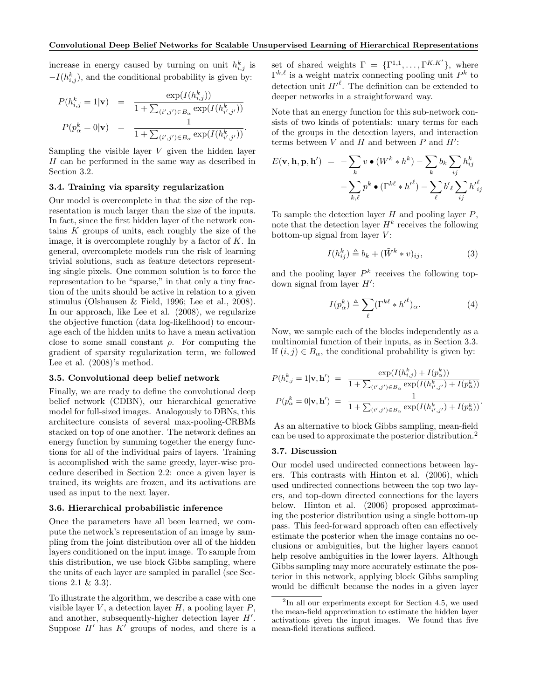increase in energy caused by turning on unit  $h_{i,j}^k$  is  $-I(h_{i,j}^k)$ , and the conditional probability is given by:

$$
P(h_{i,j}^k = 1 | \mathbf{v}) = \frac{\exp(I(h_{i,j}^k))}{1 + \sum_{(i',j') \in B_{\alpha}} \exp(I(h_{i',j'}^k))}
$$

$$
P(p_{\alpha}^k = 0 | \mathbf{v}) = \frac{1}{1 + \sum_{(i',j') \in B_{\alpha}} \exp(I(h_{i',j'}^k))}.
$$

Sampling the visible layer  $V$  given the hidden layer H can be performed in the same way as described in Section 3.2.

#### 3.4. Training via sparsity regularization

Our model is overcomplete in that the size of the representation is much larger than the size of the inputs. In fact, since the first hidden layer of the network contains  $K$  groups of units, each roughly the size of the image, it is overcomplete roughly by a factor of  $K$ . In general, overcomplete models run the risk of learning trivial solutions, such as feature detectors representing single pixels. One common solution is to force the representation to be "sparse," in that only a tiny fraction of the units should be active in relation to a given stimulus (Olshausen & Field, 1996; Lee et al., 2008). In our approach, like Lee et al. (2008), we regularize the objective function (data log-likelihood) to encourage each of the hidden units to have a mean activation close to some small constant  $\rho$ . For computing the gradient of sparsity regularization term, we followed Lee et al. (2008)'s method.

#### 3.5. Convolutional deep belief network

Finally, we are ready to define the convolutional deep belief network (CDBN), our hierarchical generative model for full-sized images. Analogously to DBNs, this architecture consists of several max-pooling-CRBMs stacked on top of one another. The network defines an energy function by summing together the energy functions for all of the individual pairs of layers. Training is accomplished with the same greedy, layer-wise procedure described in Section 2.2: once a given layer is trained, its weights are frozen, and its activations are used as input to the next layer.

#### 3.6. Hierarchical probabilistic inference

Once the parameters have all been learned, we compute the network's representation of an image by sampling from the joint distribution over all of the hidden layers conditioned on the input image. To sample from this distribution, we use block Gibbs sampling, where the units of each layer are sampled in parallel (see Sections 2.1 & 3.3).

To illustrate the algorithm, we describe a case with one visible layer V, a detection layer H, a pooling layer  $P$ , and another, subsequently-higher detection layer  $H'$ . Suppose  $H'$  has  $K'$  groups of nodes, and there is a

set of shared weights  $\Gamma = {\{\Gamma^{1,1}, \ldots, \Gamma^{K,K'}\}}$ , where  $\Gamma^{k,\ell}$  is a weight matrix connecting pooling unit  $P^k$  to detection unit  $H'^{\ell}$ . The definition can be extended to deeper networks in a straightforward way.

Note that an energy function for this sub-network consists of two kinds of potentials: unary terms for each of the groups in the detection layers, and interaction terms between  $V$  and  $H$  and between  $P$  and  $H'$ :

$$
E(\mathbf{v}, \mathbf{h}, \mathbf{p}, \mathbf{h}') = -\sum_{k} v \bullet (W^k * h^k) - \sum_{k} b_k \sum_{ij} h_{ij}^k
$$

$$
- \sum_{k, \ell} p^k \bullet (\Gamma^{k\ell} * {h'}^{\ell}) - \sum_{\ell} b'_{\ell} \sum_{ij} {h'}_{ij}^{\ell}
$$

To sample the detection layer  $H$  and pooling layer  $P$ , note that the detection layer  $H^k$  receives the following bottom-up signal from layer  $V$ :

$$
I(h_{ij}^k) \triangleq b_k + (\tilde{W}^k * v)_{ij},\tag{3}
$$

and the pooling layer  $P^k$  receives the following topdown signal from layer  $H'$ :

$$
I(p_{\alpha}^{k}) \triangleq \sum_{\ell} (\Gamma^{k\ell} * h^{\prime \ell})_{\alpha}.
$$
 (4)

Now, we sample each of the blocks independently as a multinomial function of their inputs, as in Section 3.3. If  $(i, j) \in B_\alpha$ , the conditional probability is given by:

$$
P(h_{i,j}^k = 1 | \mathbf{v}, \mathbf{h}') = \frac{\exp(I(h_{i,j}^k) + I(p_{\alpha}^k))}{1 + \sum_{(i',j') \in B_{\alpha}} \exp(I(h_{i',j'}^k) + I(p_{\alpha}^k))}
$$

$$
P(p_{\alpha}^k = 0 | \mathbf{v}, \mathbf{h}') = \frac{1}{1 + \sum_{(i',j') \in B_{\alpha}} \exp(I(h_{i',j'}^k) + I(p_{\alpha}^k))}.
$$

As an alternative to block Gibbs sampling, mean-field can be used to approximate the posterior distribution.<sup>2</sup>

## 3.7. Discussion

Our model used undirected connections between layers. This contrasts with Hinton et al. (2006), which used undirected connections between the top two layers, and top-down directed connections for the layers below. Hinton et al. (2006) proposed approximating the posterior distribution using a single bottom-up pass. This feed-forward approach often can effectively estimate the posterior when the image contains no occlusions or ambiguities, but the higher layers cannot help resolve ambiguities in the lower layers. Although Gibbs sampling may more accurately estimate the posterior in this network, applying block Gibbs sampling would be difficult because the nodes in a given layer

<sup>&</sup>lt;sup>2</sup>In all our experiments except for Section 4.5, we used the mean-field approximation to estimate the hidden layer activations given the input images. We found that five mean-field iterations sufficed.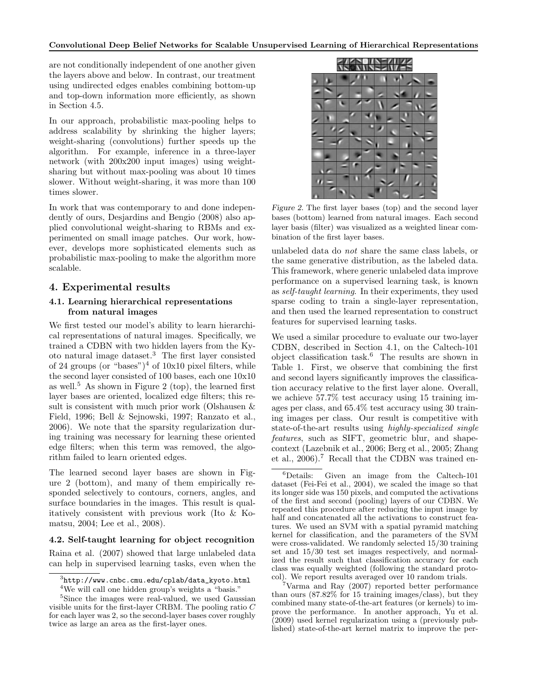are not conditionally independent of one another given the layers above and below. In contrast, our treatment using undirected edges enables combining bottom-up and top-down information more efficiently, as shown in Section 4.5.

In our approach, probabilistic max-pooling helps to address scalability by shrinking the higher layers; weight-sharing (convolutions) further speeds up the algorithm. For example, inference in a three-layer network (with 200x200 input images) using weightsharing but without max-pooling was about 10 times slower. Without weight-sharing, it was more than 100 times slower.

In work that was contemporary to and done independently of ours, Desjardins and Bengio (2008) also applied convolutional weight-sharing to RBMs and experimented on small image patches. Our work, however, develops more sophisticated elements such as probabilistic max-pooling to make the algorithm more scalable.

# 4. Experimental results

# 4.1. Learning hierarchical representations from natural images

We first tested our model's ability to learn hierarchical representations of natural images. Specifically, we trained a CDBN with two hidden layers from the Kyoto natural image dataset.<sup>3</sup> The first layer consisted of 24 groups (or "bases")<sup>4</sup> of 10x10 pixel filters, while the second layer consisted of 100 bases, each one 10x10 as well.<sup>5</sup> As shown in Figure 2 (top), the learned first layer bases are oriented, localized edge filters; this result is consistent with much prior work (Olshausen & Field, 1996; Bell & Sejnowski, 1997; Ranzato et al., 2006). We note that the sparsity regularization during training was necessary for learning these oriented edge filters; when this term was removed, the algorithm failed to learn oriented edges.

The learned second layer bases are shown in Figure 2 (bottom), and many of them empirically responded selectively to contours, corners, angles, and surface boundaries in the images. This result is qualitatively consistent with previous work (Ito & Komatsu, 2004; Lee et al., 2008).

## 4.2. Self-taught learning for object recognition

Raina et al. (2007) showed that large unlabeled data can help in supervised learning tasks, even when the



Figure 2. The first layer bases (top) and the second layer bases (bottom) learned from natural images. Each second layer basis (filter) was visualized as a weighted linear combination of the first layer bases.

unlabeled data do not share the same class labels, or the same generative distribution, as the labeled data. This framework, where generic unlabeled data improve performance on a supervised learning task, is known as self-taught learning. In their experiments, they used sparse coding to train a single-layer representation, and then used the learned representation to construct features for supervised learning tasks.

We used a similar procedure to evaluate our two-layer CDBN, described in Section 4.1, on the Caltech-101 object classification task.<sup>6</sup> The results are shown in Table 1. First, we observe that combining the first and second layers significantly improves the classification accuracy relative to the first layer alone. Overall, we achieve 57.7% test accuracy using 15 training images per class, and 65.4% test accuracy using 30 training images per class. Our result is competitive with state-of-the-art results using highly-specialized single features, such as SIFT, geometric blur, and shapecontext (Lazebnik et al., 2006; Berg et al., 2005; Zhang et al., 2006).<sup>7</sup> Recall that the CDBN was trained en-

 $7$ Varma and Ray (2007) reported better performance than ours (87.82% for 15 training images/class), but they combined many state-of-the-art features (or kernels) to improve the performance. In another approach, Yu et al. (2009) used kernel regularization using a (previously published) state-of-the-art kernel matrix to improve the per-

 $^3$ http://www.cnbc.cmu.edu/cplab/data\_kyoto.html

<sup>4</sup>We will call one hidden group's weights a "basis."

<sup>&</sup>lt;sup>5</sup>Since the images were real-valued, we used Gaussian visible units for the first-layer CRBM. The pooling ratio  $C$ for each layer was 2, so the second-layer bases cover roughly twice as large an area as the first-layer ones.

<sup>6</sup>Details: Given an image from the Caltech-101 dataset (Fei-Fei et al., 2004), we scaled the image so that its longer side was 150 pixels, and computed the activations of the first and second (pooling) layers of our CDBN. We repeated this procedure after reducing the input image by half and concatenated all the activations to construct features. We used an SVM with a spatial pyramid matching kernel for classification, and the parameters of the SVM were cross-validated. We randomly selected 15/30 training set and 15/30 test set images respectively, and normalized the result such that classification accuracy for each class was equally weighted (following the standard protocol). We report results averaged over 10 random trials.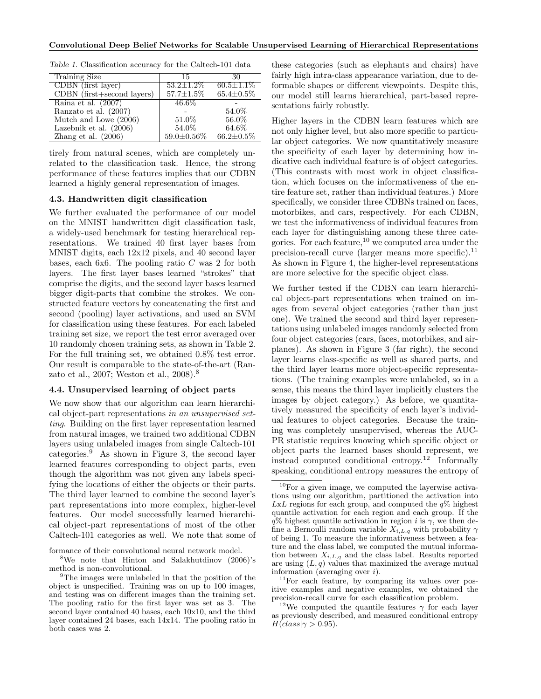| Training Size              | 15                | 30               |
|----------------------------|-------------------|------------------|
| CDBN (first layer)         | $53.2 \pm 1.2\%$  | $60.5 \pm 1.1\%$ |
| CDBN (first+second layers) | $57.7 \pm 1.5\%$  | $65.4 \pm 0.5\%$ |
| Raina et al. $(2007)$      | $46.6\%$          |                  |
| Ranzato et al. (2007)      |                   | 54.0%            |
| Mutch and Lowe (2006)      | 51.0%             | 56.0%            |
| Lazebnik et al. $(2006)$   | 54.0%             | 64.6%            |
| Zhang et al. $(2006)$      | $59.0 \pm 0.56\%$ | $66.2 \pm 0.5\%$ |

Table 1. Classification accuracy for the Caltech-101 data

tirely from natural scenes, which are completely unrelated to the classification task. Hence, the strong performance of these features implies that our CDBN learned a highly general representation of images.

#### 4.3. Handwritten digit classification

We further evaluated the performance of our model on the MNIST handwritten digit classification task, a widely-used benchmark for testing hierarchical representations. We trained 40 first layer bases from MNIST digits, each 12x12 pixels, and 40 second layer bases, each  $6x6$ . The pooling ratio C was 2 for both layers. The first layer bases learned "strokes" that comprise the digits, and the second layer bases learned bigger digit-parts that combine the strokes. We constructed feature vectors by concatenating the first and second (pooling) layer activations, and used an SVM for classification using these features. For each labeled training set size, we report the test error averaged over 10 randomly chosen training sets, as shown in Table 2. For the full training set, we obtained 0.8% test error. Our result is comparable to the state-of-the-art (Ranzato et al., 2007; Weston et al., 2008).<sup>8</sup>

#### 4.4. Unsupervised learning of object parts

We now show that our algorithm can learn hierarchical object-part representations in an unsupervised setting. Building on the first layer representation learned from natural images, we trained two additional CDBN layers using unlabeled images from single Caltech-101 categories.<sup>9</sup> As shown in Figure 3, the second layer learned features corresponding to object parts, even though the algorithm was not given any labels specifying the locations of either the objects or their parts. The third layer learned to combine the second layer's part representations into more complex, higher-level features. Our model successfully learned hierarchical object-part representations of most of the other Caltech-101 categories as well. We note that some of

these categories (such as elephants and chairs) have fairly high intra-class appearance variation, due to deformable shapes or different viewpoints. Despite this, our model still learns hierarchical, part-based representations fairly robustly.

Higher layers in the CDBN learn features which are not only higher level, but also more specific to particular object categories. We now quantitatively measure the specificity of each layer by determining how indicative each individual feature is of object categories. (This contrasts with most work in object classification, which focuses on the informativeness of the entire feature set, rather than individual features.) More specifically, we consider three CDBNs trained on faces, motorbikes, and cars, respectively. For each CDBN, we test the informativeness of individual features from each layer for distinguishing among these three categories. For each feature,  $10$  we computed area under the precision-recall curve (larger means more specific). $^{11}$ As shown in Figure 4, the higher-level representations are more selective for the specific object class.

We further tested if the CDBN can learn hierarchical object-part representations when trained on images from several object categories (rather than just one). We trained the second and third layer representations using unlabeled images randomly selected from four object categories (cars, faces, motorbikes, and airplanes). As shown in Figure 3 (far right), the second layer learns class-specific as well as shared parts, and the third layer learns more object-specific representations. (The training examples were unlabeled, so in a sense, this means the third layer implicitly clusters the images by object category.) As before, we quantitatively measured the specificity of each layer's individual features to object categories. Because the training was completely unsupervised, whereas the AUC-PR statistic requires knowing which specific object or object parts the learned bases should represent, we instead computed conditional entropy.<sup>12</sup> Informally speaking, conditional entropy measures the entropy of

formance of their convolutional neural network model.

 $8\text{We note that Hinton and Salakhutdinov } (2006)$ 's method is non-convolutional.

<sup>9</sup>The images were unlabeled in that the position of the object is unspecified. Training was on up to 100 images, and testing was on different images than the training set. The pooling ratio for the first layer was set as 3. The second layer contained 40 bases, each 10x10, and the third layer contained 24 bases, each 14x14. The pooling ratio in both cases was 2.

 $10$ For a given image, we computed the layerwise activations using our algorithm, partitioned the activation into  $LxL$  regions for each group, and computed the  $q\%$  highest quantile activation for each region and each group. If the  $q\%$  highest quantile activation in region i is  $\gamma$ , we then define a Bernoulli random variable  $X_{i,L,q}$  with probability  $\gamma$ of being 1. To measure the informativeness between a feature and the class label, we computed the mutual information between  $X_{i,L,q}$  and the class label. Results reported are using  $(L, q)$  values that maximized the average mutual information (averaging over  $i$ ).

<sup>11</sup>For each feature, by comparing its values over positive examples and negative examples, we obtained the precision-recall curve for each classification problem.

<sup>&</sup>lt;sup>12</sup>We computed the quantile features  $\gamma$  for each layer as previously described, and measured conditional entropy  $H(dass|\gamma > 0.95).$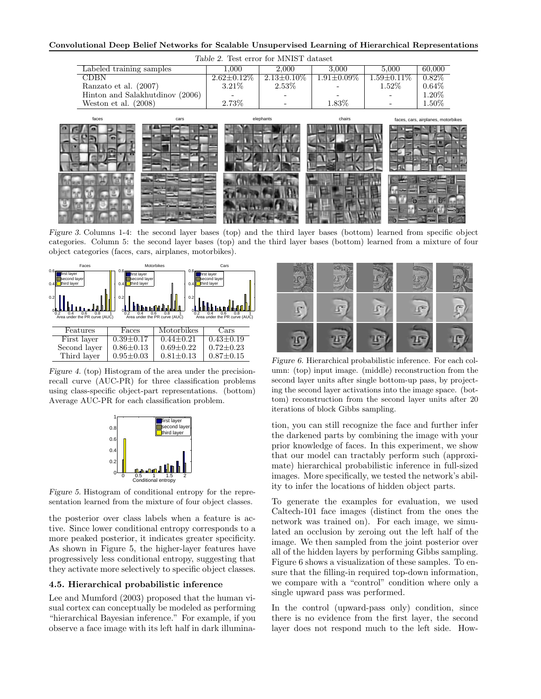Convolutional Deep Belief Networks for Scalable Unsupervised Learning of Hierarchical Representations

| Table 2. Test error for MNIST dataset |                                 |                   |                   |                   |                   |                                    |  |  |
|---------------------------------------|---------------------------------|-------------------|-------------------|-------------------|-------------------|------------------------------------|--|--|
| Labeled training samples              |                                 | 1,000             | 2,000             | 3,000             | 5,000             | 60,000                             |  |  |
| <b>CDBN</b>                           |                                 | $2.62 \pm 0.12\%$ | $2.13 \pm 0.10\%$ | $1.91 \pm 0.09\%$ | $1.59 \pm 0.11\%$ | $0.82\%$                           |  |  |
| Ranzato et al. (2007)                 |                                 | $3.21\%$          | 2.53%             |                   | $1.52\%$          | $0.64\%$                           |  |  |
|                                       | Hinton and Salakhutdinov (2006) |                   |                   |                   |                   | 1.20%                              |  |  |
| Weston et al. $(2008)$                |                                 | 2.73%             |                   | 1.83%             |                   | 1.50%                              |  |  |
| faces                                 | cars                            |                   | elephants         | chairs            |                   |                                    |  |  |
|                                       |                                 |                   |                   |                   |                   | faces, cars, airplanes, motorbikes |  |  |
|                                       |                                 |                   |                   |                   |                   |                                    |  |  |
|                                       |                                 |                   |                   |                   |                   |                                    |  |  |
|                                       |                                 |                   |                   |                   |                   |                                    |  |  |
|                                       |                                 |                   |                   |                   |                   |                                    |  |  |
|                                       |                                 |                   |                   |                   |                   |                                    |  |  |
|                                       |                                 |                   |                   |                   |                   |                                    |  |  |
|                                       |                                 |                   |                   |                   |                   |                                    |  |  |
|                                       |                                 |                   |                   |                   |                   |                                    |  |  |

Figure 3. Columns 1-4: the second layer bases (top) and the third layer bases (bottom) learned from specific object categories. Column 5: the second layer bases (top) and the third layer bases (bottom) learned from a mixture of four object categories (faces, cars, airplanes, motorbikes).



Figure 4. (top) Histogram of the area under the precisionrecall curve (AUC-PR) for three classification problems using class-specific object-part representations. (bottom) Average AUC-PR for each classification problem.



Figure 5. Histogram of conditional entropy for the representation learned from the mixture of four object classes.

the posterior over class labels when a feature is active. Since lower conditional entropy corresponds to a more peaked posterior, it indicates greater specificity. As shown in Figure 5, the higher-layer features have progressively less conditional entropy, suggesting that they activate more selectively to specific object classes.

#### 4.5. Hierarchical probabilistic inference

Lee and Mumford (2003) proposed that the human visual cortex can conceptually be modeled as performing "hierarchical Bayesian inference." For example, if you observe a face image with its left half in dark illumina-



Figure 6. Hierarchical probabilistic inference. For each column: (top) input image. (middle) reconstruction from the second layer units after single bottom-up pass, by projecting the second layer activations into the image space. (bottom) reconstruction from the second layer units after 20 iterations of block Gibbs sampling.

tion, you can still recognize the face and further infer the darkened parts by combining the image with your prior knowledge of faces. In this experiment, we show that our model can tractably perform such (approximate) hierarchical probabilistic inference in full-sized images. More specifically, we tested the network's ability to infer the locations of hidden object parts.

To generate the examples for evaluation, we used Caltech-101 face images (distinct from the ones the network was trained on). For each image, we simulated an occlusion by zeroing out the left half of the image. We then sampled from the joint posterior over all of the hidden layers by performing Gibbs sampling. Figure 6 shows a visualization of these samples. To ensure that the filling-in required top-down information, we compare with a "control" condition where only a single upward pass was performed.

In the control (upward-pass only) condition, since there is no evidence from the first layer, the second layer does not respond much to the left side. How